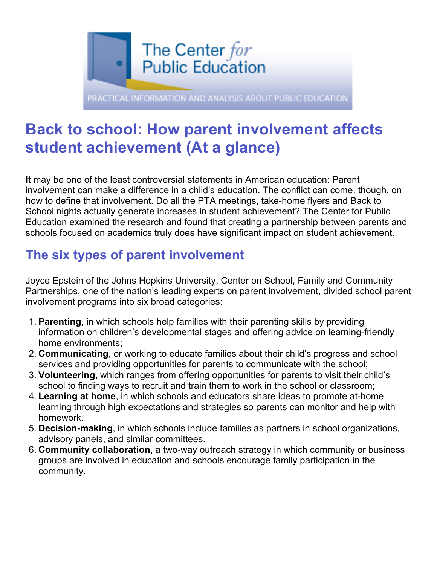

# **Back to school: How parent involvement affects student achievement (At a glance)**

It may be one of the least controversial statements in American education: Parent involvement can make a difference in a child's education. The conflict can come, though, on how to define that involvement. Do all the PTA meetings, take-home flyers and Back to School nights actually generate increases in student achievement? The Center for Public Education examined the research and found that creating a partnership between parents and schools focused on academics truly does have significant impact on student achievement.

# **The six types of parent involvement**

Joyce Epstein of the Johns Hopkins University, Center on School, Family and Community Partnerships, one of the nation's leading experts on parent involvement, divided school parent involvement programs into six broad categories:

- 1. **Parenting**, in which schools help families with their parenting skills by providing information on children's developmental stages and offering advice on learning-friendly home environments;
- 2. **Communicating**, or working to educate families about their child's progress and school services and providing opportunities for parents to communicate with the school;
- 3. **Volunteering**, which ranges from offering opportunities for parents to visit their child's school to finding ways to recruit and train them to work in the school or classroom;
- 4. **Learning at home**, in which schools and educators share ideas to promote at-home learning through high expectations and strategies so parents can monitor and help with homework.
- 5. **Decision-making**, in which schools include families as partners in school organizations, advisory panels, and similar committees.
- 6. **Community collaboration**, a two-way outreach strategy in which community or business groups are involved in education and schools encourage family participation in the community.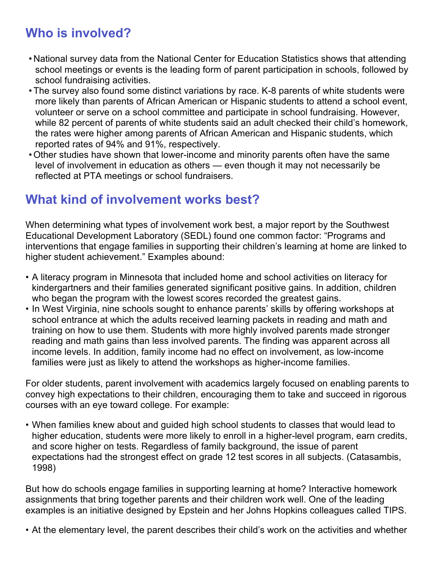# **Who is involved?**

- National survey data from the National Center for Education Statistics shows that attending school meetings or events is the leading form of parent participation in schools, followed by school fundraising activities.
- •The survey also found some distinct variations by race. K-8 parents of white students were more likely than parents of African American or Hispanic students to attend a school event, volunteer or serve on a school committee and participate in school fundraising. However, while 82 percent of parents of white students said an adult checked their child's homework, the rates were higher among parents of African American and Hispanic students, which reported rates of 94% and 91%, respectively.
- •Other studies have shown that lower-income and minority parents often have the same level of involvement in education as others — even though it may not necessarily be reflected at PTA meetings or school fundraisers.

#### **What kind of involvement works best?**

When determining what types of involvement work best, a major report by the Southwest Educational Development Laboratory (SEDL) found one common factor: "Programs and interventions that engage families in supporting their children's learning at home are linked to higher student achievement." Examples abound:

- A literacy program in Minnesota that included home and school activities on literacy for kindergartners and their families generated significant positive gains. In addition, children who began the program with the lowest scores recorded the greatest gains.
- In West Virginia, nine schools sought to enhance parents' skills by offering workshops at school entrance at which the adults received learning packets in reading and math and training on how to use them. Students with more highly involved parents made stronger reading and math gains than less involved parents. The finding was apparent across all income levels. In addition, family income had no effect on involvement, as low-income families were just as likely to attend the workshops as higher-income families.

For older students, parent involvement with academics largely focused on enabling parents to convey high expectations to their children, encouraging them to take and succeed in rigorous courses with an eye toward college. For example:

• When families knew about and guided high school students to classes that would lead to higher education, students were more likely to enroll in a higher-level program, earn credits, and score higher on tests. Regardless of family background, the issue of parent expectations had the strongest effect on grade 12 test scores in all subjects. (Catasambis, 1998)

But how do schools engage families in supporting learning at home? Interactive homework assignments that bring together parents and their children work well. One of the leading examples is an initiative designed by Epstein and her Johns Hopkins colleagues called TIPS.

• At the elementary level, the parent describes their child's work on the activities and whether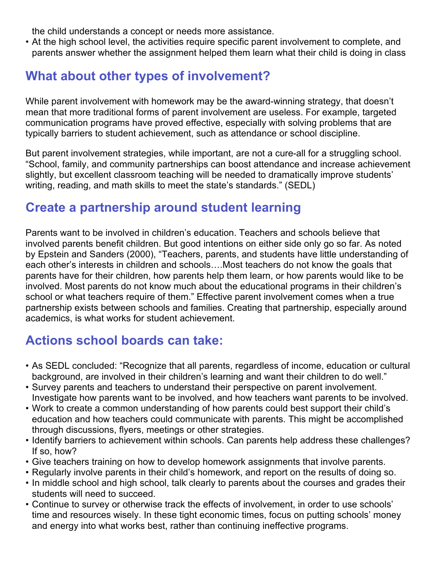the child understands a concept or needs more assistance.

• At the high school level, the activities require specific parent involvement to complete, and parents answer whether the assignment helped them learn what their child is doing in class

# **What about other types of involvement?**

While parent involvement with homework may be the award-winning strategy, that doesn't mean that more traditional forms of parent involvement are useless. For example, targeted communication programs have proved effective, especially with solving problems that are typically barriers to student achievement, such as attendance or school discipline.

But parent involvement strategies, while important, are not a cure-all for a struggling school. "School, family, and community partnerships can boost attendance and increase achievement slightly, but excellent classroom teaching will be needed to dramatically improve students' writing, reading, and math skills to meet the state's standards." (SEDL)

## **Create a partnership around student learning**

Parents want to be involved in children's education. Teachers and schools believe that involved parents benefit children. But good intentions on either side only go so far. As noted by Epstein and Sanders (2000), "Teachers, parents, and students have little understanding of each other's interests in children and schools….Most teachers do not know the goals that parents have for their children, how parents help them learn, or how parents would like to be involved. Most parents do not know much about the educational programs in their children's school or what teachers require of them." Effective parent involvement comes when a true partnership exists between schools and families. Creating that partnership, especially around academics, is what works for student achievement.

## **Actions school boards can take:**

- As SEDL concluded: "Recognize that all parents, regardless of income, education or cultural background, are involved in their children's learning and want their children to do well."
- Survey parents and teachers to understand their perspective on parent involvement. Investigate how parents want to be involved, and how teachers want parents to be involved.
- Work to create a common understanding of how parents could best support their child's education and how teachers could communicate with parents. This might be accomplished through discussions, flyers, meetings or other strategies.
- Identify barriers to achievement within schools. Can parents help address these challenges? If so, how?
- Give teachers training on how to develop homework assignments that involve parents.
- Regularly involve parents in their child's homework, and report on the results of doing so.
- In middle school and high school, talk clearly to parents about the courses and grades their students will need to succeed.
- Continue to survey or otherwise track the effects of involvement, in order to use schools' time and resources wisely. In these tight economic times, focus on putting schools' money and energy into what works best, rather than continuing ineffective programs.